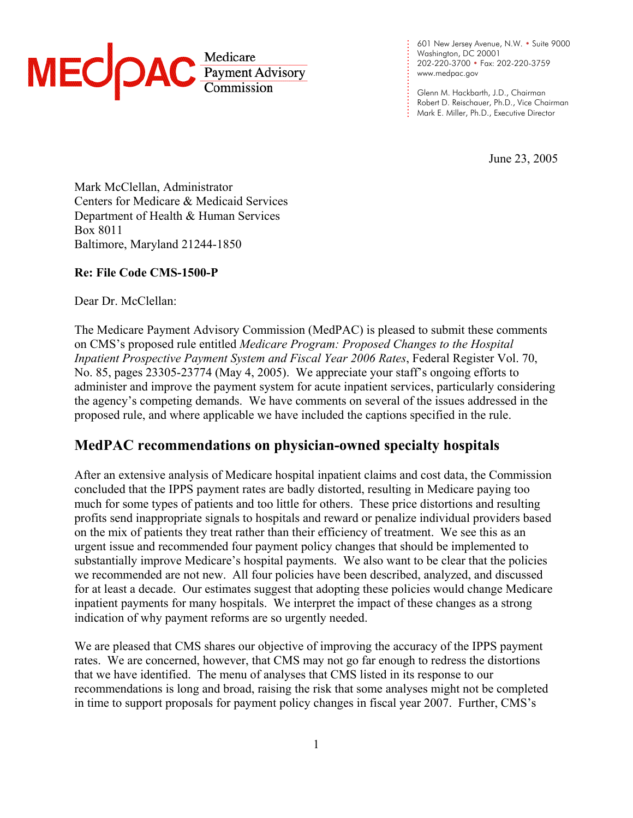

601 New Jersey Avenue, N.W. • Suite 9000 Washington, DC 20001 202-220-3700 • Fax: 202-220-3759 www.medpac.gov

.

. . . . . . . . . . . . .

. . . . . . . . . .

Glenn M. Hackbarth, J.D., Chairman Robert D. Reischauer, Ph.D., Vice Chairman Mark E. Miller, Ph.D., Executive Director

June 23, 2005

Mark McClellan, Administrator Centers for Medicare & Medicaid Services Department of Health & Human Services Box 8011 Baltimore, Maryland 21244-1850

## **Re: File Code CMS-1500-P**

Dear Dr. McClellan:

The Medicare Payment Advisory Commission (MedPAC) is pleased to submit these comments on CMS's proposed rule entitled *Medicare Program: Proposed Changes to the Hospital Inpatient Prospective Payment System and Fiscal Year 2006 Rates*, Federal Register Vol. 70, No. 85, pages 23305-23774 (May 4, 2005). We appreciate your staff's ongoing efforts to administer and improve the payment system for acute inpatient services, particularly considering the agency's competing demands. We have comments on several of the issues addressed in the proposed rule, and where applicable we have included the captions specified in the rule.

# **MedPAC recommendations on physician-owned specialty hospitals**

After an extensive analysis of Medicare hospital inpatient claims and cost data, the Commission concluded that the IPPS payment rates are badly distorted, resulting in Medicare paying too much for some types of patients and too little for others. These price distortions and resulting profits send inappropriate signals to hospitals and reward or penalize individual providers based on the mix of patients they treat rather than their efficiency of treatment. We see this as an urgent issue and recommended four payment policy changes that should be implemented to substantially improve Medicare's hospital payments. We also want to be clear that the policies we recommended are not new. All four policies have been described, analyzed, and discussed for at least a decade. Our estimates suggest that adopting these policies would change Medicare inpatient payments for many hospitals. We interpret the impact of these changes as a strong indication of why payment reforms are so urgently needed.

We are pleased that CMS shares our objective of improving the accuracy of the IPPS payment rates. We are concerned, however, that CMS may not go far enough to redress the distortions that we have identified. The menu of analyses that CMS listed in its response to our recommendations is long and broad, raising the risk that some analyses might not be completed in time to support proposals for payment policy changes in fiscal year 2007. Further, CMS's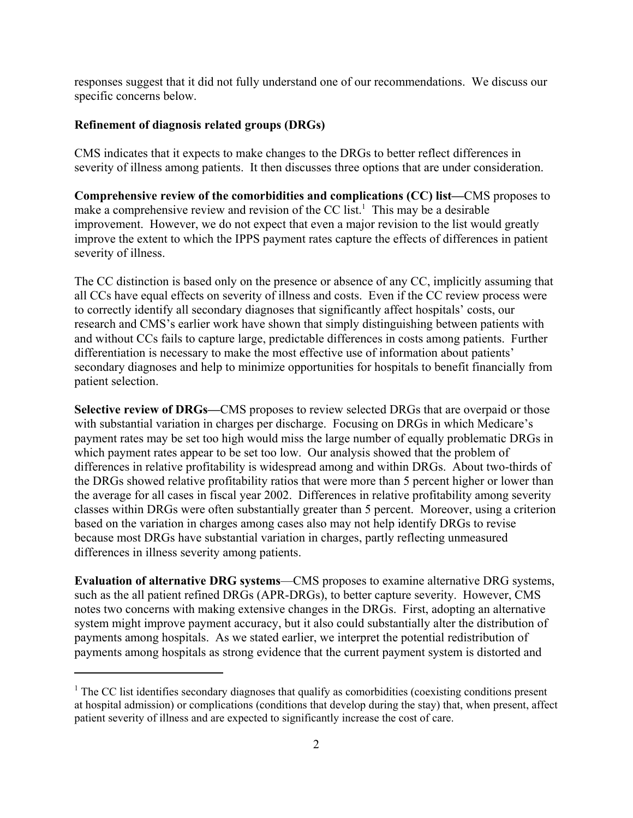responses suggest that it did not fully understand one of our recommendations. We discuss our specific concerns below.

#### **Refinement of diagnosis related groups (DRGs)**

CMS indicates that it expects to make changes to the DRGs to better reflect differences in severity of illness among patients. It then discusses three options that are under consideration.

**Comprehensive review of the comorbidities and complications (CC) list—**CMS proposes to make a comprehensive review and revision of the CC list.<sup>1</sup> This may be a desirable improvement. However, we do not expect that even a major revision to the list would greatly improve the extent to which the IPPS payment rates capture the effects of differences in patient severity of illness.

The CC distinction is based only on the presence or absence of any CC, implicitly assuming that all CCs have equal effects on severity of illness and costs. Even if the CC review process were to correctly identify all secondary diagnoses that significantly affect hospitals' costs, our research and CMS's earlier work have shown that simply distinguishing between patients with and without CCs fails to capture large, predictable differences in costs among patients. Further differentiation is necessary to make the most effective use of information about patients' secondary diagnoses and help to minimize opportunities for hospitals to benefit financially from patient selection.

**Selective review of DRGs—**CMS proposes to review selected DRGs that are overpaid or those with substantial variation in charges per discharge. Focusing on DRGs in which Medicare's payment rates may be set too high would miss the large number of equally problematic DRGs in which payment rates appear to be set too low. Our analysis showed that the problem of differences in relative profitability is widespread among and within DRGs. About two-thirds of the DRGs showed relative profitability ratios that were more than 5 percent higher or lower than the average for all cases in fiscal year 2002. Differences in relative profitability among severity classes within DRGs were often substantially greater than 5 percent. Moreover, using a criterion based on the variation in charges among cases also may not help identify DRGs to revise because most DRGs have substantial variation in charges, partly reflecting unmeasured differences in illness severity among patients.

**Evaluation of alternative DRG systems**—CMS proposes to examine alternative DRG systems, such as the all patient refined DRGs (APR-DRGs), to better capture severity. However, CMS notes two concerns with making extensive changes in the DRGs. First, adopting an alternative system might improve payment accuracy, but it also could substantially alter the distribution of payments among hospitals. As we stated earlier, we interpret the potential redistribution of payments among hospitals as strong evidence that the current payment system is distorted and

<sup>&</sup>lt;sup>1</sup> The CC list identifies secondary diagnoses that qualify as comorbidities (coexisting conditions present at hospital admission) or complications (conditions that develop during the stay) that, when present, affect patient severity of illness and are expected to significantly increase the cost of care.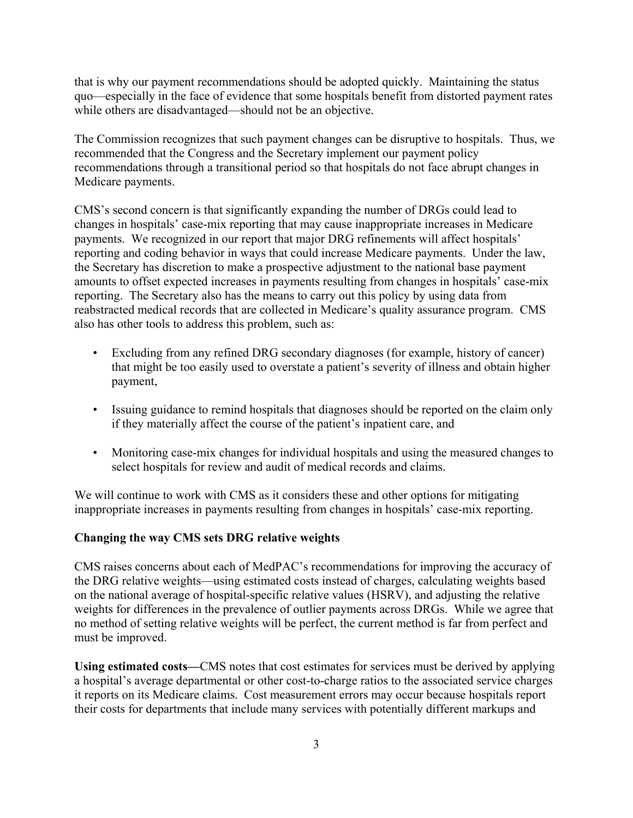that is why our payment recommendations should be adopted quickly. Maintaining the status quo—especially in the face of evidence that some hospitals benefit from distorted payment rates while others are disadvantaged—should not be an objective.

The Commission recognizes that such payment changes can be disruptive to hospitals. Thus, we recommended that the Congress and the Secretary implement our payment policy recommendations through a transitional period so that hospitals do not face abrupt changes in Medicare payments.

CMS's second concern is that significantly expanding the number of DRGs could lead to changes in hospitals' case-mix reporting that may cause inappropriate increases in Medicare payments. We recognized in our report that major DRG refinements will affect hospitals' reporting and coding behavior in ways that could increase Medicare payments. Under the law, the Secretary has discretion to make a prospective adjustment to the national base payment amounts to offset expected increases in payments resulting from changes in hospitals' case-mix reporting. The Secretary also has the means to carry out this policy by using data from reabstracted medical records that are collected in Medicare's quality assurance program. CMS also has other tools to address this problem, such as:

- Excluding from any refined DRG secondary diagnoses (for example, history of cancer) that might be too easily used to overstate a patient's severity of illness and obtain higher payment,
- Issuing guidance to remind hospitals that diagnoses should be reported on the claim only if they materially affect the course of the patient's inpatient care, and
- Monitoring case-mix changes for individual hospitals and using the measured changes to select hospitals for review and audit of medical records and claims.

We will continue to work with CMS as it considers these and other options for mitigating inappropriate increases in payments resulting from changes in hospitals' case-mix reporting.

## **Changing the way CMS sets DRG relative weights**

CMS raises concerns about each of MedPAC's recommendations for improving the accuracy of the DRG relative weights—using estimated costs instead of charges, calculating weights based on the national average of hospital-specific relative values (HSRV), and adjusting the relative weights for differences in the prevalence of outlier payments across DRGs. While we agree that no method of setting relative weights will be perfect, the current method is far from perfect and must be improved.

**Using estimated costs—**CMS notes that cost estimates for services must be derived by applying a hospital's average departmental or other cost-to-charge ratios to the associated service charges it reports on its Medicare claims. Cost measurement errors may occur because hospitals report their costs for departments that include many services with potentially different markups and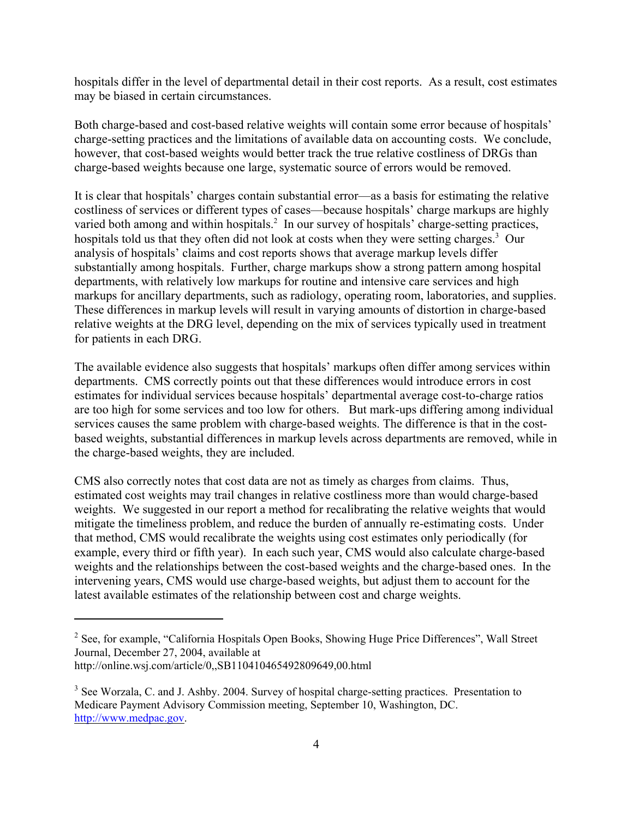hospitals differ in the level of departmental detail in their cost reports. As a result, cost estimates may be biased in certain circumstances.

Both charge-based and cost-based relative weights will contain some error because of hospitals' charge-setting practices and the limitations of available data on accounting costs. We conclude, however, that cost-based weights would better track the true relative costliness of DRGs than charge-based weights because one large, systematic source of errors would be removed.

It is clear that hospitals' charges contain substantial error—as a basis for estimating the relative costliness of services or different types of cases—because hospitals' charge markups are highly varied both among and within hospitals.<sup>2</sup> In our survey of hospitals' charge-setting practices, hospitals told us that they often did not look at costs when they were setting charges.<sup>3</sup> Our analysis of hospitals' claims and cost reports shows that average markup levels differ substantially among hospitals. Further, charge markups show a strong pattern among hospital departments, with relatively low markups for routine and intensive care services and high markups for ancillary departments, such as radiology, operating room, laboratories, and supplies. These differences in markup levels will result in varying amounts of distortion in charge-based relative weights at the DRG level, depending on the mix of services typically used in treatment for patients in each DRG.

The available evidence also suggests that hospitals' markups often differ among services within departments. CMS correctly points out that these differences would introduce errors in cost estimates for individual services because hospitals' departmental average cost-to-charge ratios are too high for some services and too low for others. But mark-ups differing among individual services causes the same problem with charge-based weights. The difference is that in the costbased weights, substantial differences in markup levels across departments are removed, while in the charge-based weights, they are included.

CMS also correctly notes that cost data are not as timely as charges from claims. Thus, estimated cost weights may trail changes in relative costliness more than would charge-based weights. We suggested in our report a method for recalibrating the relative weights that would mitigate the timeliness problem, and reduce the burden of annually re-estimating costs. Under that method, CMS would recalibrate the weights using cost estimates only periodically (for example, every third or fifth year). In each such year, CMS would also calculate charge-based weights and the relationships between the cost-based weights and the charge-based ones. In the intervening years, CMS would use charge-based weights, but adjust them to account for the latest available estimates of the relationship between cost and charge weights.

<sup>&</sup>lt;sup>2</sup> See, for example, "California Hospitals Open Books, Showing Huge Price Differences", Wall Street Journal, December 27, 2004, available at http://online.wsj.com/article/0,,SB110410465492809649,00.html

<sup>&</sup>lt;sup>3</sup> See Worzala, C. and J. Ashby. 2004. Survey of hospital charge-setting practices. Presentation to Medicare Payment Advisory Commission meeting, September 10, Washington, DC. http://www.medpac.gov.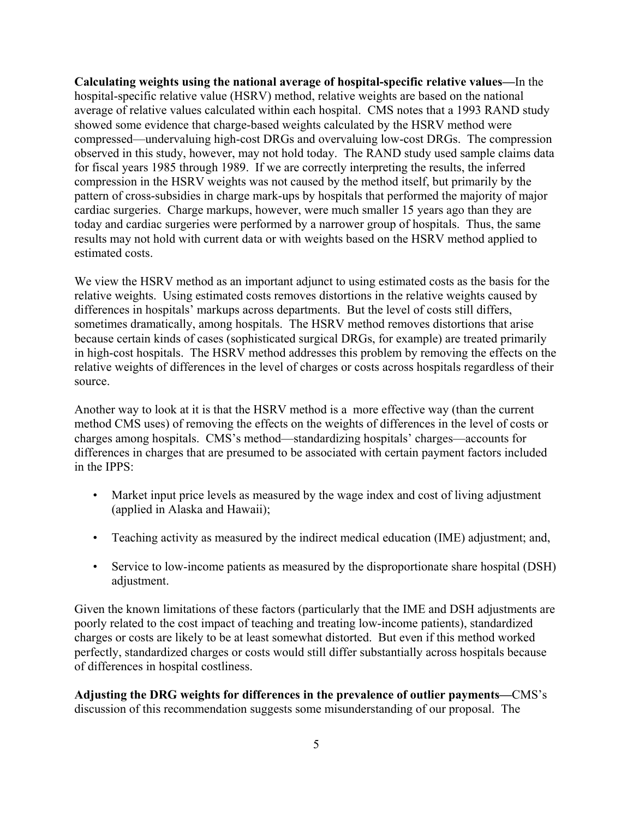**Calculating weights using the national average of hospital-specific relative values—**In the hospital-specific relative value (HSRV) method, relative weights are based on the national average of relative values calculated within each hospital. CMS notes that a 1993 RAND study showed some evidence that charge-based weights calculated by the HSRV method were compressed—undervaluing high-cost DRGs and overvaluing low-cost DRGs. The compression observed in this study, however, may not hold today. The RAND study used sample claims data for fiscal years 1985 through 1989. If we are correctly interpreting the results, the inferred compression in the HSRV weights was not caused by the method itself, but primarily by the pattern of cross-subsidies in charge mark-ups by hospitals that performed the majority of major cardiac surgeries. Charge markups, however, were much smaller 15 years ago than they are today and cardiac surgeries were performed by a narrower group of hospitals. Thus, the same results may not hold with current data or with weights based on the HSRV method applied to estimated costs.

We view the HSRV method as an important adjunct to using estimated costs as the basis for the relative weights. Using estimated costs removes distortions in the relative weights caused by differences in hospitals' markups across departments. But the level of costs still differs, sometimes dramatically, among hospitals. The HSRV method removes distortions that arise because certain kinds of cases (sophisticated surgical DRGs, for example) are treated primarily in high-cost hospitals. The HSRV method addresses this problem by removing the effects on the relative weights of differences in the level of charges or costs across hospitals regardless of their source.

Another way to look at it is that the HSRV method is a more effective way (than the current method CMS uses) of removing the effects on the weights of differences in the level of costs or charges among hospitals. CMS's method—standardizing hospitals' charges—accounts for differences in charges that are presumed to be associated with certain payment factors included in the IPPS:

- Market input price levels as measured by the wage index and cost of living adjustment (applied in Alaska and Hawaii);
- Teaching activity as measured by the indirect medical education (IME) adjustment; and,
- Service to low-income patients as measured by the disproportionate share hospital (DSH) adjustment.

Given the known limitations of these factors (particularly that the IME and DSH adjustments are poorly related to the cost impact of teaching and treating low-income patients), standardized charges or costs are likely to be at least somewhat distorted. But even if this method worked perfectly, standardized charges or costs would still differ substantially across hospitals because of differences in hospital costliness.

**Adjusting the DRG weights for differences in the prevalence of outlier payments—**CMS's discussion of this recommendation suggests some misunderstanding of our proposal. The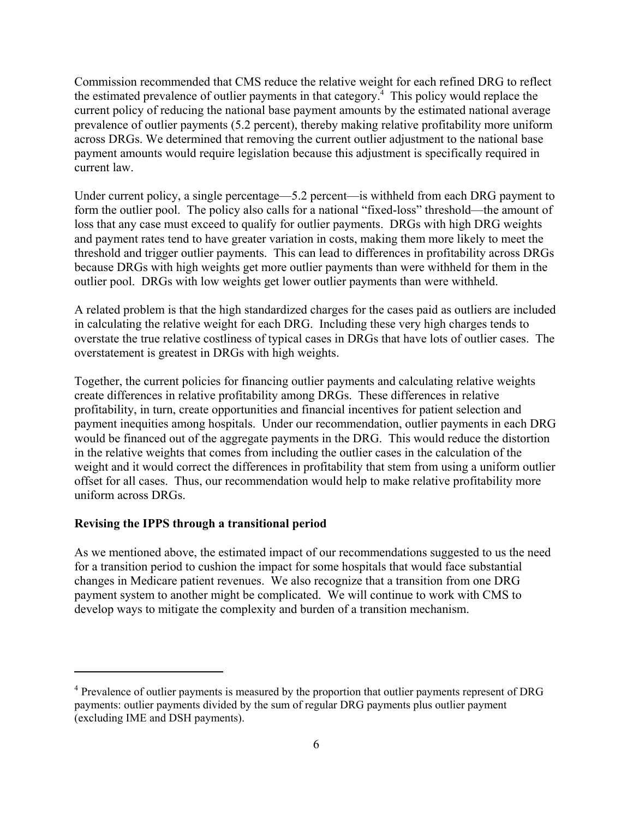Commission recommended that CMS reduce the relative weight for each refined DRG to reflect the estimated prevalence of outlier payments in that category.<sup>4</sup> This policy would replace the current policy of reducing the national base payment amounts by the estimated national average prevalence of outlier payments (5.2 percent), thereby making relative profitability more uniform across DRGs. We determined that removing the current outlier adjustment to the national base payment amounts would require legislation because this adjustment is specifically required in current law.

Under current policy, a single percentage—5.2 percent—is withheld from each DRG payment to form the outlier pool. The policy also calls for a national "fixed-loss" threshold—the amount of loss that any case must exceed to qualify for outlier payments. DRGs with high DRG weights and payment rates tend to have greater variation in costs, making them more likely to meet the threshold and trigger outlier payments. This can lead to differences in profitability across DRGs because DRGs with high weights get more outlier payments than were withheld for them in the outlier pool. DRGs with low weights get lower outlier payments than were withheld.

A related problem is that the high standardized charges for the cases paid as outliers are included in calculating the relative weight for each DRG. Including these very high charges tends to overstate the true relative costliness of typical cases in DRGs that have lots of outlier cases. The overstatement is greatest in DRGs with high weights.

Together, the current policies for financing outlier payments and calculating relative weights create differences in relative profitability among DRGs. These differences in relative profitability, in turn, create opportunities and financial incentives for patient selection and payment inequities among hospitals. Under our recommendation, outlier payments in each DRG would be financed out of the aggregate payments in the DRG. This would reduce the distortion in the relative weights that comes from including the outlier cases in the calculation of the weight and it would correct the differences in profitability that stem from using a uniform outlier offset for all cases. Thus, our recommendation would help to make relative profitability more uniform across DRGs.

#### **Revising the IPPS through a transitional period**

As we mentioned above, the estimated impact of our recommendations suggested to us the need for a transition period to cushion the impact for some hospitals that would face substantial changes in Medicare patient revenues. We also recognize that a transition from one DRG payment system to another might be complicated. We will continue to work with CMS to develop ways to mitigate the complexity and burden of a transition mechanism.

<sup>&</sup>lt;sup>4</sup> Prevalence of outlier payments is measured by the proportion that outlier payments represent of DRG payments: outlier payments divided by the sum of regular DRG payments plus outlier payment (excluding IME and DSH payments).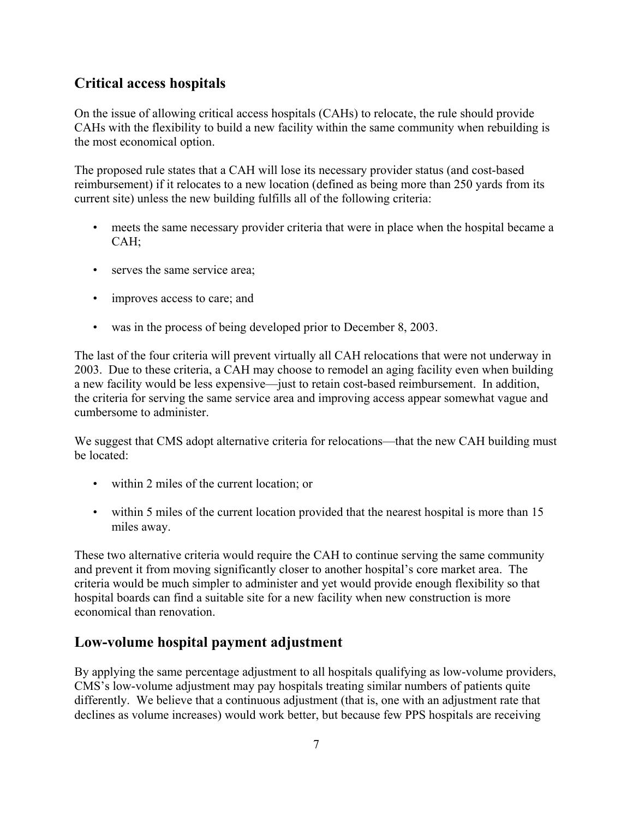# **Critical access hospitals**

On the issue of allowing critical access hospitals (CAHs) to relocate, the rule should provide CAHs with the flexibility to build a new facility within the same community when rebuilding is the most economical option.

The proposed rule states that a CAH will lose its necessary provider status (and cost-based reimbursement) if it relocates to a new location (defined as being more than 250 yards from its current site) unless the new building fulfills all of the following criteria:

- meets the same necessary provider criteria that were in place when the hospital became a CAH;
- serves the same service area;
- improves access to care; and
- was in the process of being developed prior to December 8, 2003.

The last of the four criteria will prevent virtually all CAH relocations that were not underway in 2003. Due to these criteria, a CAH may choose to remodel an aging facility even when building a new facility would be less expensive—just to retain cost-based reimbursement. In addition, the criteria for serving the same service area and improving access appear somewhat vague and cumbersome to administer.

We suggest that CMS adopt alternative criteria for relocations—that the new CAH building must be located:

- within 2 miles of the current location; or
- within 5 miles of the current location provided that the nearest hospital is more than 15 miles away.

These two alternative criteria would require the CAH to continue serving the same community and prevent it from moving significantly closer to another hospital's core market area. The criteria would be much simpler to administer and yet would provide enough flexibility so that hospital boards can find a suitable site for a new facility when new construction is more economical than renovation.

# **Low-volume hospital payment adjustment**

By applying the same percentage adjustment to all hospitals qualifying as low-volume providers, CMS's low-volume adjustment may pay hospitals treating similar numbers of patients quite differently. We believe that a continuous adjustment (that is, one with an adjustment rate that declines as volume increases) would work better, but because few PPS hospitals are receiving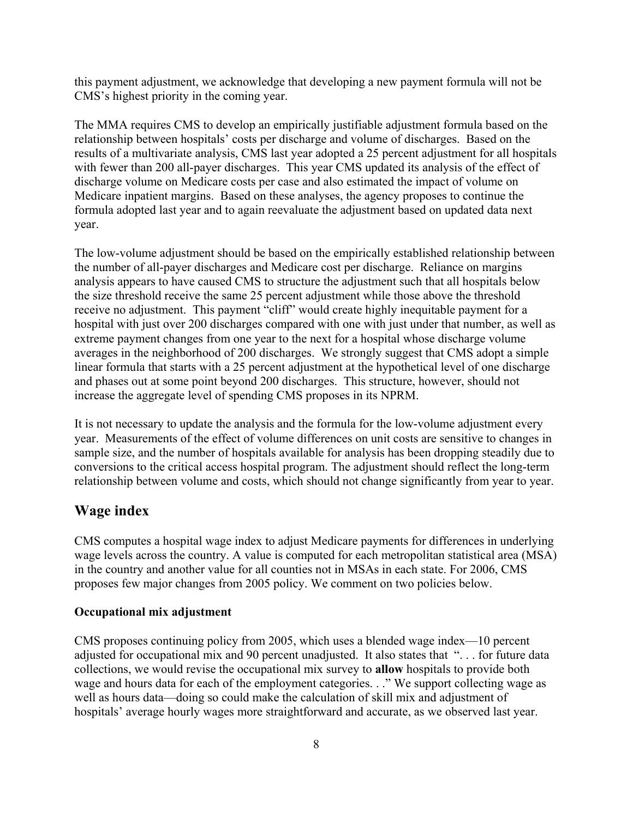this payment adjustment, we acknowledge that developing a new payment formula will not be CMS's highest priority in the coming year.

The MMA requires CMS to develop an empirically justifiable adjustment formula based on the relationship between hospitals' costs per discharge and volume of discharges. Based on the results of a multivariate analysis, CMS last year adopted a 25 percent adjustment for all hospitals with fewer than 200 all-payer discharges. This year CMS updated its analysis of the effect of discharge volume on Medicare costs per case and also estimated the impact of volume on Medicare inpatient margins. Based on these analyses, the agency proposes to continue the formula adopted last year and to again reevaluate the adjustment based on updated data next year.

The low-volume adjustment should be based on the empirically established relationship between the number of all-payer discharges and Medicare cost per discharge. Reliance on margins analysis appears to have caused CMS to structure the adjustment such that all hospitals below the size threshold receive the same 25 percent adjustment while those above the threshold receive no adjustment. This payment "cliff" would create highly inequitable payment for a hospital with just over 200 discharges compared with one with just under that number, as well as extreme payment changes from one year to the next for a hospital whose discharge volume averages in the neighborhood of 200 discharges. We strongly suggest that CMS adopt a simple linear formula that starts with a 25 percent adjustment at the hypothetical level of one discharge and phases out at some point beyond 200 discharges. This structure, however, should not increase the aggregate level of spending CMS proposes in its NPRM.

It is not necessary to update the analysis and the formula for the low-volume adjustment every year. Measurements of the effect of volume differences on unit costs are sensitive to changes in sample size, and the number of hospitals available for analysis has been dropping steadily due to conversions to the critical access hospital program. The adjustment should reflect the long-term relationship between volume and costs, which should not change significantly from year to year.

## **Wage index**

CMS computes a hospital wage index to adjust Medicare payments for differences in underlying wage levels across the country. A value is computed for each metropolitan statistical area (MSA) in the country and another value for all counties not in MSAs in each state. For 2006, CMS proposes few major changes from 2005 policy. We comment on two policies below.

#### **Occupational mix adjustment**

CMS proposes continuing policy from 2005, which uses a blended wage index—10 percent adjusted for occupational mix and 90 percent unadjusted. It also states that ". . . for future data collections, we would revise the occupational mix survey to **allow** hospitals to provide both wage and hours data for each of the employment categories. . ." We support collecting wage as well as hours data—doing so could make the calculation of skill mix and adjustment of hospitals' average hourly wages more straightforward and accurate, as we observed last year.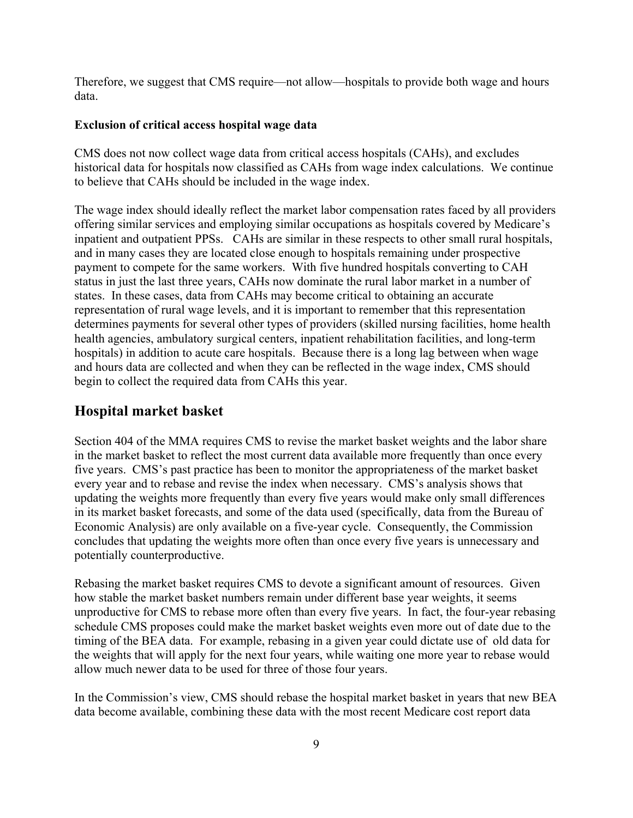Therefore, we suggest that CMS require—not allow—hospitals to provide both wage and hours data.

#### **Exclusion of critical access hospital wage data**

CMS does not now collect wage data from critical access hospitals (CAHs), and excludes historical data for hospitals now classified as CAHs from wage index calculations. We continue to believe that CAHs should be included in the wage index.

The wage index should ideally reflect the market labor compensation rates faced by all providers offering similar services and employing similar occupations as hospitals covered by Medicare's inpatient and outpatient PPSs. CAHs are similar in these respects to other small rural hospitals, and in many cases they are located close enough to hospitals remaining under prospective payment to compete for the same workers. With five hundred hospitals converting to CAH status in just the last three years, CAHs now dominate the rural labor market in a number of states. In these cases, data from CAHs may become critical to obtaining an accurate representation of rural wage levels, and it is important to remember that this representation determines payments for several other types of providers (skilled nursing facilities, home health health agencies, ambulatory surgical centers, inpatient rehabilitation facilities, and long-term hospitals) in addition to acute care hospitals. Because there is a long lag between when wage and hours data are collected and when they can be reflected in the wage index, CMS should begin to collect the required data from CAHs this year.

## **Hospital market basket**

Section 404 of the MMA requires CMS to revise the market basket weights and the labor share in the market basket to reflect the most current data available more frequently than once every five years. CMS's past practice has been to monitor the appropriateness of the market basket every year and to rebase and revise the index when necessary. CMS's analysis shows that updating the weights more frequently than every five years would make only small differences in its market basket forecasts, and some of the data used (specifically, data from the Bureau of Economic Analysis) are only available on a five-year cycle. Consequently, the Commission concludes that updating the weights more often than once every five years is unnecessary and potentially counterproductive.

Rebasing the market basket requires CMS to devote a significant amount of resources. Given how stable the market basket numbers remain under different base year weights, it seems unproductive for CMS to rebase more often than every five years. In fact, the four-year rebasing schedule CMS proposes could make the market basket weights even more out of date due to the timing of the BEA data. For example, rebasing in a given year could dictate use of old data for the weights that will apply for the next four years, while waiting one more year to rebase would allow much newer data to be used for three of those four years.

In the Commission's view, CMS should rebase the hospital market basket in years that new BEA data become available, combining these data with the most recent Medicare cost report data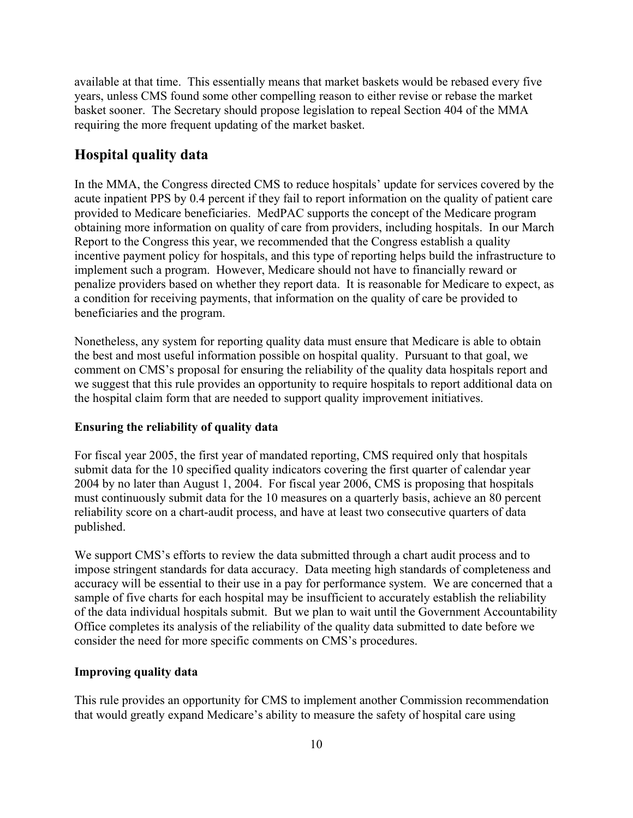available at that time. This essentially means that market baskets would be rebased every five years, unless CMS found some other compelling reason to either revise or rebase the market basket sooner. The Secretary should propose legislation to repeal Section 404 of the MMA requiring the more frequent updating of the market basket.

## **Hospital quality data**

In the MMA, the Congress directed CMS to reduce hospitals' update for services covered by the acute inpatient PPS by 0.4 percent if they fail to report information on the quality of patient care provided to Medicare beneficiaries. MedPAC supports the concept of the Medicare program obtaining more information on quality of care from providers, including hospitals. In our March Report to the Congress this year, we recommended that the Congress establish a quality incentive payment policy for hospitals, and this type of reporting helps build the infrastructure to implement such a program. However, Medicare should not have to financially reward or penalize providers based on whether they report data. It is reasonable for Medicare to expect, as a condition for receiving payments, that information on the quality of care be provided to beneficiaries and the program.

Nonetheless, any system for reporting quality data must ensure that Medicare is able to obtain the best and most useful information possible on hospital quality. Pursuant to that goal, we comment on CMS's proposal for ensuring the reliability of the quality data hospitals report and we suggest that this rule provides an opportunity to require hospitals to report additional data on the hospital claim form that are needed to support quality improvement initiatives.

## **Ensuring the reliability of quality data**

For fiscal year 2005, the first year of mandated reporting, CMS required only that hospitals submit data for the 10 specified quality indicators covering the first quarter of calendar year 2004 by no later than August 1, 2004. For fiscal year 2006, CMS is proposing that hospitals must continuously submit data for the 10 measures on a quarterly basis, achieve an 80 percent reliability score on a chart-audit process, and have at least two consecutive quarters of data published.

We support CMS's efforts to review the data submitted through a chart audit process and to impose stringent standards for data accuracy. Data meeting high standards of completeness and accuracy will be essential to their use in a pay for performance system. We are concerned that a sample of five charts for each hospital may be insufficient to accurately establish the reliability of the data individual hospitals submit. But we plan to wait until the Government Accountability Office completes its analysis of the reliability of the quality data submitted to date before we consider the need for more specific comments on CMS's procedures.

## **Improving quality data**

This rule provides an opportunity for CMS to implement another Commission recommendation that would greatly expand Medicare's ability to measure the safety of hospital care using